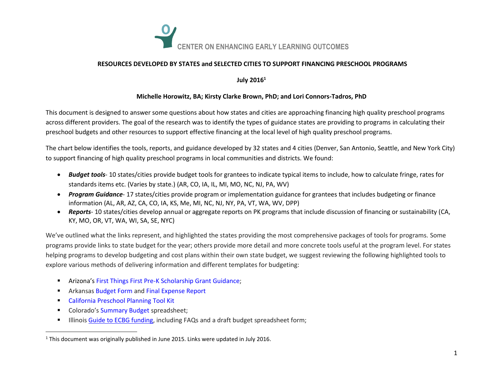

### **RESOURCES DEVELOPED BY STATES and SELECTED CITIES TO SUPPORT FINANCING PRESCHOOL PROGRAMS**

### **July 2016<sup>1</sup>**

### **Michelle Horowitz, BA; Kirsty Clarke Brown, PhD; and Lori Connors-Tadros, PhD**

This document is designed to answer some questions about how states and cities are approaching financing high quality preschool programs across different providers. The goal of the research was to identify the types of guidance states are providing to programs in calculating their preschool budgets and other resources to support effective financing at the local level of high quality preschool programs.

The chart below identifies the tools, reports, and guidance developed by 32 states and 4 cities (Denver, San Antonio, Seattle, and New York City) to support financing of high quality preschool programs in local communities and districts. We found:

- *Budget tools* 10 states/cities provide budget tools for grantees to indicate typical items to include, how to calculate fringe, rates for standards items etc. (Varies by state.) (AR, CO, IA, IL, MI, MO, NC, NJ, PA, WV)
- *Program Guidance* 17 states/cities provide program or implementation guidance for grantees that includes budgeting or finance information (AL, AR, AZ, CA, CO, IA, KS, Me, MI, NC, NJ, NY, PA, VT, WA, WV, DPP)
- *Reports* 10 states/cities develop annual or aggregate reports on PK programs that include discussion of financing or sustainability (CA, KY, MO, OR, VT, WA, WI, SA, SE, NYC)

We've outlined what the links represent, and highlighted the states providing the most comprehensive packages of tools for programs. Some programs provide links to state budget for the year; others provide more detail and more concrete tools useful at the program level. For states helping programs to develop budgeting and cost plans within their own state budget, we suggest reviewing the following highlighted tools to explore various methods of delivering information and different templates for budgeting:

- **[Arizona](http://www.azed.gov/early-childhood/files/2012/11/fy13-manual-finalized.pdf)'s [First Things First Pre-K Scholarship Grant Guidance;](http://www.azed.gov/early-childhood/files/2012/11/fy13-manual-finalized.pdf)**
- **EXP** Arkansa[s Budget Form](http://humanservices.arkansas.gov/Pages/siteSearch.aspx?q=ABC%20budget%20forms) and [Final Expense Report](http://humanservices.arkansas.gov/dccece/Pages/ArkansasBetterChanceForms.aspx)
- **[California Preschool Planning Tool Kit](http://www.karenhillscott.com/downloads/publications/7-1_overview.pdf)**

 $\overline{\phantom{a}}$ 

- Colorado's [Summary Budget](http://www.cde.state.co.us/sites/default/files/documents/cdefinance/download/spreadsheet/summarybudgetformfy12.xls) spreadsheet;
- **Illinois [Guide to ECBG funding,](http://www.isbe.net/earlychi/pdf/ecbg_fiscal.pdf) including FAQs and a draft budget spreadsheet form;**

 $1$  This document was originally published in June 2015. Links were updated in July 2016.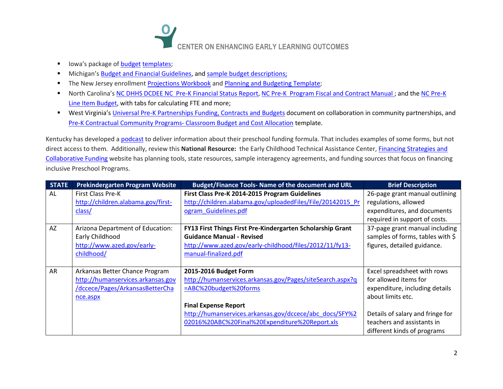

- Iowa's package of **[budget](http://www.state.ia.us/earlychildhood/local_system/budget_templates.html) templates**;
- **Michigan's [Budget and Financial Guidelines,](http://michigan.gov/documents/mde/Budget_and_Financial_Guidelines_436794_7.pdf) and [sample budget descriptions;](http://michigan.gov/documents/mde/Sample_Budget_Descriptions_for_Use_in_MEGS+_436797_7.pdf)**
- The New Jersey enrollment [Projections Workbook](http://www.nj.gov/education/ece/archives/budget/1415/2014-15DistrictOneYearEnrollmentProjectionsWorkbook.xlsx) and [Planning and Budgeting Template;](http://www.nj.gov/education/ece/archives/budget/)
- North Carolina's [NC DHHS DCDEE NC Pre-K Financial Status Report,](http://ncchildcare.dhhs.state.nc.us/Excel_Forms/NCPre-K_Financial_Status_Report.xls) [NC Pre-K Program Fiscal and Contract Manual](http://ncchildcare.nc.gov/pdf_forms/NCPre-K_BudgetFinancialContractManual.pdf); and the NC Pre-K [Line Item Budget,](http://ncchildcare.nc.gov/excel_forms/NCPre-K_LineItemBudget.XLS) with tabs for calculating FTE and more;
- West Virginia's [Universal Pre-K Partnerships Funding, Contracts and Budgets](http://static.k12.wv.us/oel/docs/WV_Pre-K_Partnerships_Collaborating_with_Community_Partnerships_2012.pdf) document on collaboration in community partnerships, and [Pre-K Contractual Community Programs-](http://static.k12.wv.us/oel/docs/template_budgetrev08.xls) Classroom Budget and Cost Allocation template.

Kentucky has developed a **podcast** to deliver information about their preschool funding formula. That includes examples of some forms, but not direct access to them. Additionally, review this **National Resource:** the Early Childhood Technical Assistance Center, [Financing Strategies and](http://ectacenter.org/topics/inclusion/funding/funding.asp)  [Collaborative Funding](http://ectacenter.org/topics/inclusion/funding/funding.asp) website has planning tools, state resources, sample interagency agreements, and funding sources that focus on financing inclusive Preschool Programs.

| <b>STATE</b> | Prekindergarten Program Website                                                                                    | <b>Budget/Finance Tools- Name of the document and URL</b>                                                                                                                                                                                               | <b>Brief Description</b>                                                                                                                                                                                     |
|--------------|--------------------------------------------------------------------------------------------------------------------|---------------------------------------------------------------------------------------------------------------------------------------------------------------------------------------------------------------------------------------------------------|--------------------------------------------------------------------------------------------------------------------------------------------------------------------------------------------------------------|
| AL           | <b>First Class Pre-K</b><br>http://children.alabama.gov/first-<br>class/                                           | First Class Pre-K 2014-2015 Program Guidelines<br>http://children.alabama.gov/uploadedFiles/File/20142015 Pr<br>ogram Guidelines.pdf                                                                                                                    | 26-page grant manual outlining<br>regulations, allowed<br>expenditures, and documents<br>required in support of costs.                                                                                       |
| <b>AZ</b>    | Arizona Department of Education:<br>Early Childhood<br>http://www.azed.gov/early-<br>childhood/                    | FY13 First Things First Pre-Kindergarten Scholarship Grant<br><b>Guidance Manual - Revised</b><br>http://www.azed.gov/early-childhood/files/2012/11/fy13-<br>manual-finalized.pdf                                                                       | 37-page grant manual including<br>samples of forms, tables with \$<br>figures, detailed guidance.                                                                                                            |
| AR           | Arkansas Better Chance Program<br>http://humanservices.arkansas.gov<br>/dccece/Pages/ArkansasBetterCha<br>nce.aspx | 2015-2016 Budget Form<br>http://humanservices.arkansas.gov/Pages/siteSearch.aspx?q<br>=ABC%20budget%20forms<br><b>Final Expense Report</b><br>http://humanservices.arkansas.gov/dccece/abc_docs/SFY%2<br>02016%20ABC%20Final%20Expenditure%20Report.xls | Excel spreadsheet with rows<br>for allowed items for<br>expenditure, including details<br>about limits etc.<br>Details of salary and fringe for<br>teachers and assistants in<br>different kinds of programs |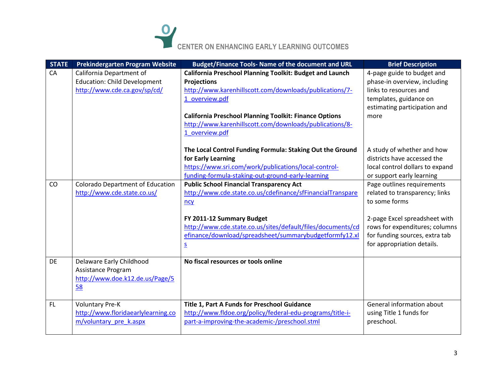# **CENTER ON ENHANCING EARLY LEARNING OUTCOMES**

| <b>STATE</b> | Prekindergarten Program Website         | <b>Budget/Finance Tools- Name of the document and URL</b>       | <b>Brief Description</b>        |
|--------------|-----------------------------------------|-----------------------------------------------------------------|---------------------------------|
| CA           | California Department of                | <b>California Preschool Planning Toolkit: Budget and Launch</b> | 4-page guide to budget and      |
|              | <b>Education: Child Development</b>     | <b>Projections</b>                                              | phase-in overview, including    |
|              | http://www.cde.ca.gov/sp/cd/            | http://www.karenhillscott.com/downloads/publications/7-         | links to resources and          |
|              |                                         | 1 overview.pdf                                                  | templates, guidance on          |
|              |                                         |                                                                 | estimating participation and    |
|              |                                         | <b>California Preschool Planning Toolkit: Finance Options</b>   | more                            |
|              |                                         | http://www.karenhillscott.com/downloads/publications/8-         |                                 |
|              |                                         | 1 overview.pdf                                                  |                                 |
|              |                                         | The Local Control Funding Formula: Staking Out the Ground       | A study of whether and how      |
|              |                                         | for Early Learning                                              | districts have accessed the     |
|              |                                         | https://www.sri.com/work/publications/local-control-            | local control dollars to expand |
|              |                                         | funding-formula-staking-out-ground-early-learning               | or support early learning       |
| CO           | <b>Colorado Department of Education</b> | <b>Public School Financial Transparency Act</b>                 | Page outlines requirements      |
|              | http://www.cde.state.co.us/             | http://www.cde.state.co.us/cdefinance/sfFinancialTranspare      | related to transparency; links  |
|              |                                         | ncy                                                             | to some forms                   |
|              |                                         |                                                                 |                                 |
|              |                                         | FY 2011-12 Summary Budget                                       | 2-page Excel spreadsheet with   |
|              |                                         | http://www.cde.state.co.us/sites/default/files/documents/cd     | rows for expenditures; columns  |
|              |                                         | efinance/download/spreadsheet/summarybudgetformfy12.xl          | for funding sources, extra tab  |
|              |                                         | $\overline{\mathsf{S}}$                                         | for appropriation details.      |
| <b>DE</b>    | Delaware Early Childhood                | No fiscal resources or tools online                             |                                 |
|              | Assistance Program                      |                                                                 |                                 |
|              | http://www.doe.k12.de.us/Page/5         |                                                                 |                                 |
|              | 58                                      |                                                                 |                                 |
|              |                                         |                                                                 |                                 |
| <b>FL</b>    | <b>Voluntary Pre-K</b>                  | Title 1, Part A Funds for Preschool Guidance                    | General information about       |
|              | http://www.floridaearlylearning.co      | http://www.fldoe.org/policy/federal-edu-programs/title-i-       | using Title 1 funds for         |
|              | m/voluntary pre k.aspx                  | part-a-improving-the-academic-/preschool.stml                   | preschool.                      |
|              |                                         |                                                                 |                                 |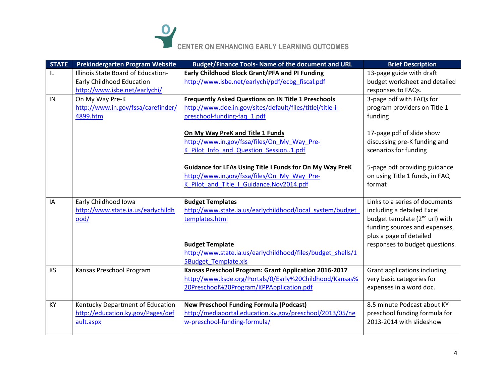## **CENTER ON ENHANCING EARLY LEARNING OUTCOMES**

| <b>STATE</b> | Prekindergarten Program Website    | Budget/Finance Tools- Name of the document and URL                                                                        | <b>Brief Description</b>                                                           |
|--------------|------------------------------------|---------------------------------------------------------------------------------------------------------------------------|------------------------------------------------------------------------------------|
| IL.          | Illinois State Board of Education- | Early Childhood Block Grant/PFA and PI Funding                                                                            | 13-page guide with draft                                                           |
|              | Early Childhood Education          | http://www.isbe.net/earlychi/pdf/ecbg_fiscal.pdf                                                                          | budget worksheet and detailed                                                      |
|              | http://www.isbe.net/earlychi/      |                                                                                                                           | responses to FAQs.                                                                 |
| IN           | On My Way Pre-K                    | <b>Frequently Asked Questions on IN Title 1 Preschools</b>                                                                | 3-page pdf with FAQs for                                                           |
|              | http://www.in.gov/fssa/carefinder/ | http://www.doe.in.gov/sites/default/files/titlei/title-i-                                                                 | program providers on Title 1                                                       |
|              | 4899.htm                           | preschool-funding-faq 1.pdf                                                                                               | funding                                                                            |
|              |                                    | On My Way PreK and Title 1 Funds<br>http://www.in.gov/fssa/files/On My Way Pre-<br>K Pilot Info and Question Session1.pdf | 17-page pdf of slide show<br>discussing pre-K funding and<br>scenarios for funding |
|              |                                    | <b>Guidance for LEAs Using Title I Funds for On My Way PreK</b>                                                           | 5-page pdf providing guidance                                                      |
|              |                                    | http://www.in.gov/fssa/files/On My Way Pre-                                                                               | on using Title 1 funds, in FAQ                                                     |
|              |                                    | K Pilot and Title I Guidance.Nov2014.pdf                                                                                  | format                                                                             |
|              |                                    |                                                                                                                           |                                                                                    |
| IA           | Early Childhood Iowa               | <b>Budget Templates</b>                                                                                                   | Links to a series of documents                                                     |
|              | http://www.state.ia.us/earlychildh | http://www.state.ia.us/earlychildhood/local_system/budget_                                                                | including a detailed Excel                                                         |
|              | ood/                               | templates.html                                                                                                            | budget template (2 <sup>nd</sup> url) with                                         |
|              |                                    |                                                                                                                           | funding sources and expenses,                                                      |
|              |                                    |                                                                                                                           | plus a page of detailed                                                            |
|              |                                    | <b>Budget Template</b>                                                                                                    | responses to budget questions.                                                     |
|              |                                    | http://www.state.ia.us/earlychildhood/files/budget shells/1<br><b>5Budget Template.xls</b>                                |                                                                                    |
| <b>KS</b>    | Kansas Preschool Program           | Kansas Preschool Program: Grant Application 2016-2017                                                                     | <b>Grant applications including</b>                                                |
|              |                                    | http://www.ksde.org/Portals/0/Early%20Childhood/Kansas%                                                                   | very basic categories for                                                          |
|              |                                    | 20Preschool%20Program/KPPApplication.pdf                                                                                  | expenses in a word doc.                                                            |
|              |                                    |                                                                                                                           |                                                                                    |
| KY           | Kentucky Department of Education   | <b>New Preschool Funding Formula (Podcast)</b>                                                                            | 8.5 minute Podcast about KY                                                        |
|              | http://education.ky.gov/Pages/def  | http://mediaportal.education.ky.gov/preschool/2013/05/ne                                                                  | preschool funding formula for                                                      |
|              | ault.aspx                          | w-preschool-funding-formula/                                                                                              | 2013-2014 with slideshow                                                           |
|              |                                    |                                                                                                                           |                                                                                    |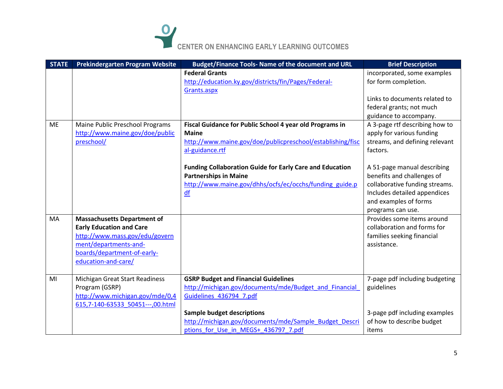## **CENTER ON ENHANCING EARLY LEARNING OUTCOMES**

| <b>STATE</b> | Prekindergarten Program Website       | <b>Budget/Finance Tools- Name of the document and URL</b>       | <b>Brief Description</b>       |
|--------------|---------------------------------------|-----------------------------------------------------------------|--------------------------------|
|              |                                       | <b>Federal Grants</b>                                           | incorporated, some examples    |
|              |                                       | http://education.ky.gov/districts/fin/Pages/Federal-            | for form completion.           |
|              |                                       | Grants.aspx                                                     |                                |
|              |                                       |                                                                 | Links to documents related to  |
|              |                                       |                                                                 | federal grants; not much       |
|              |                                       |                                                                 | guidance to accompany.         |
| <b>ME</b>    | Maine Public Preschool Programs       | Fiscal Guidance for Public School 4 year old Programs in        | A 3-page rtf describing how to |
|              | http://www.maine.gov/doe/public       | <b>Maine</b>                                                    | apply for various funding      |
|              | preschool/                            | http://www.maine.gov/doe/publicpreschool/establishing/fisc      | streams, and defining relevant |
|              |                                       | al-guidance.rtf                                                 | factors.                       |
|              |                                       |                                                                 |                                |
|              |                                       | <b>Funding Collaboration Guide for Early Care and Education</b> | A 51-page manual describing    |
|              |                                       | <b>Partnerships in Maine</b>                                    | benefits and challenges of     |
|              |                                       | http://www.maine.gov/dhhs/ocfs/ec/occhs/funding_guide.p         | collaborative funding streams. |
|              |                                       | $\underline{df}$                                                | Includes detailed appendices   |
|              |                                       |                                                                 | and examples of forms          |
|              |                                       |                                                                 | programs can use.              |
| MA           | <b>Massachusetts Department of</b>    |                                                                 | Provides some items around     |
|              | <b>Early Education and Care</b>       |                                                                 | collaboration and forms for    |
|              | http://www.mass.gov/edu/govern        |                                                                 | families seeking financial     |
|              | ment/departments-and-                 |                                                                 | assistance.                    |
|              | boards/department-of-early-           |                                                                 |                                |
|              | education-and-care/                   |                                                                 |                                |
|              |                                       |                                                                 |                                |
| MI           | <b>Michigan Great Start Readiness</b> | <b>GSRP Budget and Financial Guidelines</b>                     | 7-page pdf including budgeting |
|              | Program (GSRP)                        | http://michigan.gov/documents/mde/Budget and Financial          | guidelines                     |
|              | http://www.michigan.gov/mde/0,4       | Guidelines 436794 7.pdf                                         |                                |
|              | 615,7-140-63533 50451---,00.html      |                                                                 |                                |
|              |                                       | <b>Sample budget descriptions</b>                               | 3-page pdf including examples  |
|              |                                       | http://michigan.gov/documents/mde/Sample Budget Descri          | of how to describe budget      |
|              |                                       | ptions for Use in MEGS+ 436797 7.pdf                            | items                          |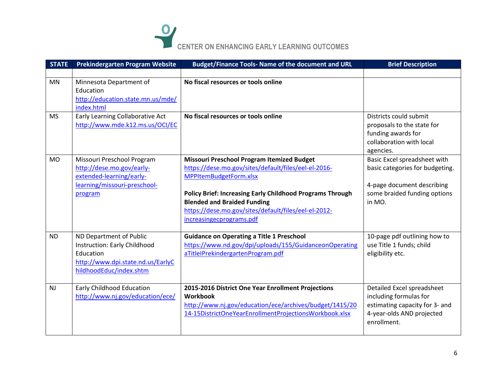

| <b>STATE</b> | <b>Prekindergarten Program Website</b>                                                                                               | Budget/Finance Tools- Name of the document and URL                                                                                                                                                                                                                                                                                | <b>Brief Description</b>                                                                                                                |
|--------------|--------------------------------------------------------------------------------------------------------------------------------------|-----------------------------------------------------------------------------------------------------------------------------------------------------------------------------------------------------------------------------------------------------------------------------------------------------------------------------------|-----------------------------------------------------------------------------------------------------------------------------------------|
| <b>MN</b>    | Minnesota Department of<br>Education<br>http://education.state.mn.us/mde/<br>index.html                                              | No fiscal resources or tools online                                                                                                                                                                                                                                                                                               |                                                                                                                                         |
| <b>MS</b>    | Early Learning Collaborative Act<br>http://www.mde.k12.ms.us/OCI/EC                                                                  | No fiscal resources or tools online                                                                                                                                                                                                                                                                                               | Districts could submit<br>proposals to the state for<br>funding awards for<br>collaboration with local<br>agencies.                     |
| <b>MO</b>    | Missouri Preschool Program<br>http://dese.mo.gov/early-<br>extended-learning/early-<br>learning/missouri-preschool-<br>program       | <b>Missouri Preschool Program Itemized Budget</b><br>https://dese.mo.gov/sites/default/files/eel-el-2016-<br>MPPItemBudgetForm.xlsx<br><b>Policy Brief: Increasing Early Childhood Programs Through</b><br><b>Blended and Braided Funding</b><br>https://dese.mo.gov/sites/default/files/eel-el-2012-<br>increasingecprograms.pdf | Basic Excel spreadsheet with<br>basic categories for budgeting.<br>4-page document describing<br>some braided funding options<br>in MO. |
| <b>ND</b>    | ND Department of Public<br>Instruction: Early Childhood<br>Education<br>http://www.dpi.state.nd.us/EarlyC<br>hildhoodEduc/index.shtm | <b>Guidance on Operating a Title 1 Preschool</b><br>https://www.nd.gov/dpi/uploads/155/GuidanceonOperating<br>aTitleIPrekindergartenProgram.pdf                                                                                                                                                                                   | 10-page pdf outlining how to<br>use Title 1 funds; child<br>eligibility etc.                                                            |
| <b>NJ</b>    | Early Childhood Education<br>http://www.nj.gov/education/ece/                                                                        | 2015-2016 District One Year Enrollment Projections<br>Workbook<br>http://www.nj.gov/education/ece/archives/budget/1415/20<br>14-15DistrictOneYearEnrollmentProjectionsWorkbook.xlsx                                                                                                                                               | Detailed Excel spreadsheet<br>including formulas for<br>estimating capacity for 3- and<br>4-year-olds AND projected<br>enrollment.      |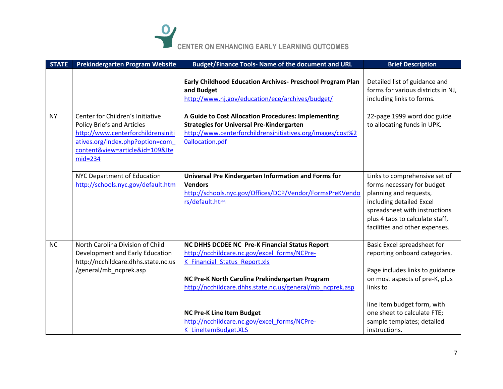

| <b>STATE</b> | <b>Prekindergarten Program Website</b>                                                                                                                                                         | <b>Budget/Finance Tools- Name of the document and URL</b>                                                                                                                                                                                       | <b>Brief Description</b>                                                                                                                                                                                                |
|--------------|------------------------------------------------------------------------------------------------------------------------------------------------------------------------------------------------|-------------------------------------------------------------------------------------------------------------------------------------------------------------------------------------------------------------------------------------------------|-------------------------------------------------------------------------------------------------------------------------------------------------------------------------------------------------------------------------|
|              |                                                                                                                                                                                                | Early Childhood Education Archives- Preschool Program Plan<br>and Budget<br>http://www.nj.gov/education/ece/archives/budget/                                                                                                                    | Detailed list of guidance and<br>forms for various districts in NJ,<br>including links to forms.                                                                                                                        |
| <b>NY</b>    | Center for Children's Initiative<br><b>Policy Briefs and Articles</b><br>http://www.centerforchildrensiniti<br>atives.org/index.php?option=com<br>content&view=article&id=109&Ite<br>$mid=234$ | A Guide to Cost Allocation Procedures: Implementing<br><b>Strategies for Universal Pre-Kindergarten</b><br>http://www.centerforchildrensinitiatives.org/images/cost%2<br><b>Oallocation.pdf</b>                                                 | 22-page 1999 word doc guide<br>to allocating funds in UPK.                                                                                                                                                              |
|              | NYC Department of Education<br>http://schools.nyc.gov/default.htm                                                                                                                              | Universal Pre Kindergarten Information and Forms for<br><b>Vendors</b><br>http://schools.nyc.gov/Offices/DCP/Vendor/FormsPreKVendo<br>rs/default.htm                                                                                            | Links to comprehensive set of<br>forms necessary for budget<br>planning and requests,<br>including detailed Excel<br>spreadsheet with instructions<br>plus 4 tabs to calculate staff,<br>facilities and other expenses. |
| <b>NC</b>    | North Carolina Division of Child<br>Development and Early Education<br>http://ncchildcare.dhhs.state.nc.us<br>/general/mb_ncprek.asp                                                           | NC DHHS DCDEE NC Pre-K Financial Status Report<br>http://ncchildcare.nc.gov/excel forms/NCPre-<br>K Financial Status Report.xls<br>NC Pre-K North Carolina Prekindergarten Program<br>http://ncchildcare.dhhs.state.nc.us/general/mb ncprek.asp | Basic Excel spreadsheet for<br>reporting onboard categories.<br>Page includes links to guidance<br>on most aspects of pre-K, plus<br>links to                                                                           |
|              |                                                                                                                                                                                                | <b>NC Pre-K Line Item Budget</b><br>http://ncchildcare.nc.gov/excel_forms/NCPre-<br>K_LineItemBudget.XLS                                                                                                                                        | line item budget form, with<br>one sheet to calculate FTE;<br>sample templates; detailed<br>instructions.                                                                                                               |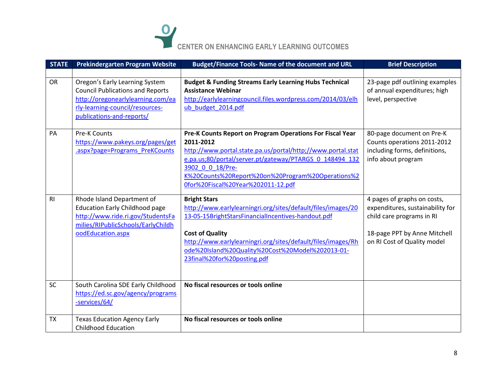

| <b>STATE</b>   | Prekindergarten Program Website                                         | Budget/Finance Tools- Name of the document and URL                                                                     | <b>Brief Description</b>                            |
|----------------|-------------------------------------------------------------------------|------------------------------------------------------------------------------------------------------------------------|-----------------------------------------------------|
| <b>OR</b>      | Oregon's Early Learning System                                          | <b>Budget &amp; Funding Streams Early Learning Hubs Technical</b>                                                      | 23-page pdf outlining examples                      |
|                | <b>Council Publications and Reports</b>                                 | <b>Assistance Webinar</b>                                                                                              | of annual expenditures; high                        |
|                | http://oregonearlylearning.com/ea                                       | http://earlylearningcouncil.files.wordpress.com/2014/03/elh                                                            | level, perspective                                  |
|                | rly-learning-council/resources-                                         | ub budget 2014.pdf                                                                                                     |                                                     |
|                | publications-and-reports/                                               |                                                                                                                        |                                                     |
| PA             | <b>Pre-K Counts</b>                                                     | Pre-K Counts Report on Program Operations For Fiscal Year                                                              | 80-page document on Pre-K                           |
|                | https://www.pakeys.org/pages/get                                        | 2011-2012                                                                                                              | Counts operations 2011-2012                         |
|                | .aspx?page=Programs PreKCounts                                          | http://www.portal.state.pa.us/portal/http;//www.portal.stat<br>e.pa.us;80/portal/server.pt/gateway/PTARGS 0 148494 132 | including forms, definitions,<br>info about program |
|                |                                                                         | 3902 0 0 18/Pre-                                                                                                       |                                                     |
|                |                                                                         | K%20Counts%20Report%20on%20Program%20Operations%2                                                                      |                                                     |
|                |                                                                         | 0for%20Fiscal%20Year%202011-12.pdf                                                                                     |                                                     |
| R <sub>l</sub> | Rhode Island Department of                                              | <b>Bright Stars</b>                                                                                                    | 4 pages of graphs on costs,                         |
|                | <b>Education Early Childhood page</b>                                   | http://www.earlylearningri.org/sites/default/files/images/20                                                           | expenditures, sustainability for                    |
|                | http://www.ride.ri.gov/StudentsFa<br>milies/RIPublicSchools/EarlyChildh | 13-05-15BrightStarsFinancialIncentives-handout.pdf                                                                     | child care programs in RI                           |
|                | oodEducation.aspx                                                       | <b>Cost of Quality</b>                                                                                                 | 18-page PPT by Anne Mitchell                        |
|                |                                                                         | http://www.earlylearningri.org/sites/default/files/images/Rh                                                           | on RI Cost of Quality model                         |
|                |                                                                         | ode%20Island%20Quality%20Cost%20Model%202013-01-                                                                       |                                                     |
|                |                                                                         | 23final%20for%20posting.pdf                                                                                            |                                                     |
|                |                                                                         |                                                                                                                        |                                                     |
| SC             | South Carolina SDE Early Childhood                                      | No fiscal resources or tools online                                                                                    |                                                     |
|                | https://ed.sc.gov/agency/programs<br>-services/64/                      |                                                                                                                        |                                                     |
|                |                                                                         |                                                                                                                        |                                                     |
| <b>TX</b>      | <b>Texas Education Agency Early</b>                                     | No fiscal resources or tools online                                                                                    |                                                     |
|                | <b>Childhood Education</b>                                              |                                                                                                                        |                                                     |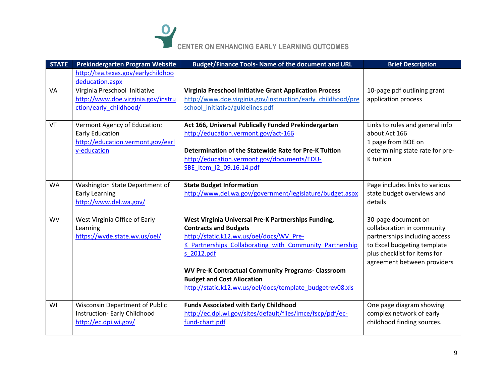

| <b>STATE</b> | Prekindergarten Program Website                                                                            | <b>Budget/Finance Tools- Name of the document and URL</b>                                                                                                                                                                                                                                                                                                               | <b>Brief Description</b>                                                                                                                                                         |
|--------------|------------------------------------------------------------------------------------------------------------|-------------------------------------------------------------------------------------------------------------------------------------------------------------------------------------------------------------------------------------------------------------------------------------------------------------------------------------------------------------------------|----------------------------------------------------------------------------------------------------------------------------------------------------------------------------------|
|              | http://tea.texas.gov/earlychildhoo<br>deducation.aspx                                                      |                                                                                                                                                                                                                                                                                                                                                                         |                                                                                                                                                                                  |
| VA           | Virginia Preschool Initiative<br>http://www.doe.virginia.gov/instru<br>ction/early childhood/              | <b>Virginia Preschool Initiative Grant Application Process</b><br>http://www.doe.virginia.gov/instruction/early childhood/pre<br>school initiative/guidelines.pdf                                                                                                                                                                                                       | 10-page pdf outlining grant<br>application process                                                                                                                               |
| VT           | Vermont Agency of Education:<br><b>Early Education</b><br>http://education.vermont.gov/earl<br>y-education | Act 166, Universal Publically Funded Prekindergarten<br>http://education.vermont.gov/act-166<br>Determination of the Statewide Rate for Pre-K Tuition<br>http://education.vermont.gov/documents/EDU-<br>SBE Item I2 09.16.14.pdf                                                                                                                                        | Links to rules and general info<br>about Act 166<br>1 page from BOE on<br>determining state rate for pre-<br>K tuition                                                           |
| <b>WA</b>    | Washington State Department of<br><b>Early Learning</b><br>http://www.del.wa.gov/                          | <b>State Budget Information</b><br>http://www.del.wa.gov/government/legislature/budget.aspx                                                                                                                                                                                                                                                                             | Page includes links to various<br>state budget overviews and<br>details                                                                                                          |
| <b>WV</b>    | West Virginia Office of Early<br>Learning<br>https://wvde.state.wv.us/oel/                                 | West Virginia Universal Pre-K Partnerships Funding,<br><b>Contracts and Budgets</b><br>http://static.k12.wv.us/oel/docs/WV_Pre-<br>K Partnerships Collaborating with Community Partnership<br>s 2012.pdf<br><b>WV Pre-K Contractual Community Programs- Classroom</b><br><b>Budget and Cost Allocation</b><br>http://static.k12.wv.us/oel/docs/template_budgetrev08.xls | 30-page document on<br>collaboration in community<br>partnerships including access<br>to Excel budgeting template<br>plus checklist for items for<br>agreement between providers |
| WI           | <b>Wisconsin Department of Public</b><br>Instruction- Early Childhood<br>http://ec.dpi.wi.gov/             | <b>Funds Associated with Early Childhood</b><br>http://ec.dpi.wi.gov/sites/default/files/imce/fscp/pdf/ec-<br>fund-chart.pdf                                                                                                                                                                                                                                            | One page diagram showing<br>complex network of early<br>childhood finding sources.                                                                                               |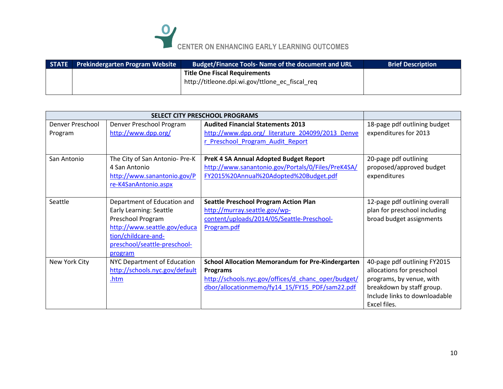

| <b>STATE</b> | <b>Prekindergarten Program Website</b> | <b>Budget/Finance Tools- Name of the document and URL</b>                               | <b>Brief Description</b> |
|--------------|----------------------------------------|-----------------------------------------------------------------------------------------|--------------------------|
|              |                                        | <b>Title One Fiscal Requirements</b><br>http://titleone.dpi.wi.gov/ttlone_ec fiscal req |                          |

|                             |                                                                                                                                                                                      | <b>SELECT CITY PRESCHOOL PROGRAMS</b>                                                                                                                                                |                                                                                                                                                                     |
|-----------------------------|--------------------------------------------------------------------------------------------------------------------------------------------------------------------------------------|--------------------------------------------------------------------------------------------------------------------------------------------------------------------------------------|---------------------------------------------------------------------------------------------------------------------------------------------------------------------|
| Denver Preschool<br>Program | Denver Preschool Program<br>http://www.dpp.org/                                                                                                                                      | <b>Audited Financial Statements 2013</b><br>http://www.dpp.org/_literature_204099/2013_Denve<br>r Preschool Program Audit Report                                                     | 18-page pdf outlining budget<br>expenditures for 2013                                                                                                               |
| San Antonio                 | The City of San Antonio- Pre-K<br>4 San Antonio<br>http://www.sanantonio.gov/P<br>re-K4SanAntonio.aspx                                                                               | PreK 4 SA Annual Adopted Budget Report<br>http://www.sanantonio.gov/Portals/0/Files/PreK4SA/<br>FY2015%20Annual%20Adopted%20Budget.pdf                                               | 20-page pdf outlining<br>proposed/approved budget<br>expenditures                                                                                                   |
| Seattle                     | Department of Education and<br><b>Early Learning: Seattle</b><br>Preschool Program<br>http://www.seattle.gov/educa<br>tion/childcare-and-<br>preschool/seattle-preschool-<br>program | <b>Seattle Preschool Program Action Plan</b><br>http://murray.seattle.gov/wp-<br>content/uploads/2014/05/Seattle-Preschool-<br>Program.pdf                                           | 12-page pdf outlining overall<br>plan for preschool including<br>broad budget assignments                                                                           |
| New York City               | NYC Department of Education<br>http://schools.nyc.gov/default<br>.htm                                                                                                                | <b>School Allocation Memorandum for Pre-Kindergarten</b><br><b>Programs</b><br>http://schools.nyc.gov/offices/d_chanc_oper/budget/<br>dbor/allocationmemo/fy14 15/FY15 PDF/sam22.pdf | 40-page pdf outlining FY2015<br>allocations for preschool<br>programs, by venue, with<br>breakdown by staff group.<br>Include links to downloadable<br>Excel files. |